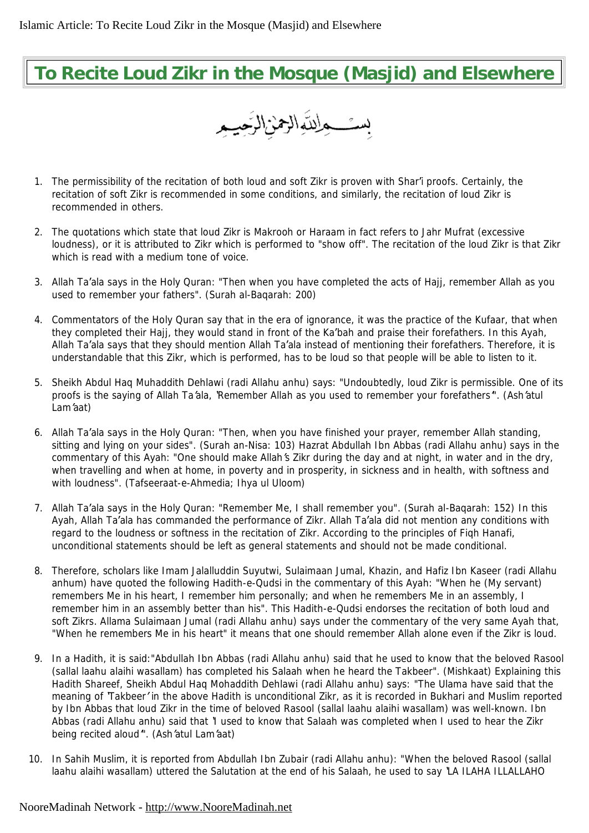## **To Recite Loud Zikr in the Mosque (Masjid) and Elsewhere**

بسئــــــواللّـهالزممن(الرَّحِيــِـــو

- 1. The permissibility of the recitation of both loud and soft Zikr is proven with Shar'i proofs. Certainly, the recitation of soft Zikr is recommended in some conditions, and similarly, the recitation of loud Zikr is recommended in others.
- 2. The quotations which state that loud Zikr is Makrooh or Haraam in fact refers to Jahr Mufrat (excessive loudness), or it is attributed to Zikr which is performed to "show off". The recitation of the loud Zikr is that Zikr which is read with a medium tone of voice.
- 3. Allah Ta'ala says in the Holy Quran: *"Then when you have completed the acts of Hajj, remember Allah as you used to remember your fathers". (Surah al-Baqarah: 200)*
- 4. Commentators of the Holy Quran say that in the era of ignorance, it was the practice of the Kufaar, that when they completed their Hajj, they would stand in front of the Ka'bah and praise their forefathers. In this Ayah, Allah Ta'ala says that they should mention Allah Ta'ala instead of mentioning their forefathers. Therefore, it is understandable that this Zikr, which is performed, has to be loud so that people will be able to listen to it.
- 5. Sheikh Abdul Haq Muhaddith Dehlawi *(radi Allahu anhu)* says*: "Undoubtedly, loud Zikr is permissible. One of its*  proofs is the saying of Allah Ta'ala, 'Remember Allah as you used to remember your forefathers'". (Ash'atul *Lam'aat)*
- 6. Allah Ta'ala says in the Holy Quran: *"Then, when you have finished your prayer, remember Allah standing, sitting and lying on your sides". (Surah an-Nisa: 103)* Hazrat Abdullah Ibn Abbas *(radi Allahu anhu)* says in the commentary of this Ayah: "One should make Allah's Zikr during the day and at night, in water and in the dry, when travelling and when at home, in poverty and in prosperity, in sickness and in health, with softness and *with loudness". (Tafseeraat-e-Ahmedia; Ihya ul Uloom)*
- 7. Allah Ta'ala says in the Holy Quran: *"Remember Me, I shall remember you". (Surah al-Baqarah: 152)* In this Ayah, Allah Ta'ala has commanded the performance of Zikr. Allah Ta'ala did not mention any conditions with regard to the loudness or softness in the recitation of Zikr. According to the principles of Fiqh Hanafi, unconditional statements should be left as general statements and should not be made conditional.
- 8. Therefore, scholars like Imam Jalalluddin Suyutwi, Sulaimaan Jumal, Khazin, and Hafiz Ibn Kaseer *(radi Allahu anhum)* have quoted the following Hadith-e-Qudsi in the commentary of this Ayah: *"When he (My servant) remembers Me in his heart, I remember him personally; and when he remembers Me in an assembly, I remember him in an assembly better than his".* This Hadith-e-Qudsi endorses the recitation of both loud and soft Zikrs. Allama Sulaimaan Jumal *(radi Allahu anhu)* says under the commentary of the very same Ayah that, *"When he remembers Me in his heart"* it means that one should remember Allah alone even if the Zikr is loud.
- 9. In a Hadith, it is said:*"Abdullah Ibn Abbas (radi Allahu anhu) said that he used to know that the beloved Rasool (sallal laahu alaihi wasallam) has completed his Salaah when he heard the Takbeer". (Mishkaat)* Explaining this Hadith Shareef, Sheikh Abdul Haq Mohaddith *Dehlawi (radi Allahu anhu)* says: *"The Ulama have said that the*  meaning of 'Takbeer' in the above Hadith is unconditional Zikr, as it is recorded in Bukhari and Muslim reported by Ibn Abbas that loud Zikr in the time of beloved Rasool (sallal laahu alaihi wasallam) was well-known. Ibn Abbas (radi Allahu anhu) said that 'I used to know that Salaah was completed when I used to hear the Zikr *being recited aloud'". (Ash'atul Lam'aat)*
- 10. In Sahih Muslim, it is reported from Abdullah Ibn Zubair *(radi Allahu anhu): "When the beloved Rasool (sallal*  laahu alaihi wasallam) uttered the Salutation at the end of his Salaah, he used to say 'LA ILAHA ILLALLAHO

## NooreMadinah Network - <http://www.NooreMadinah.net>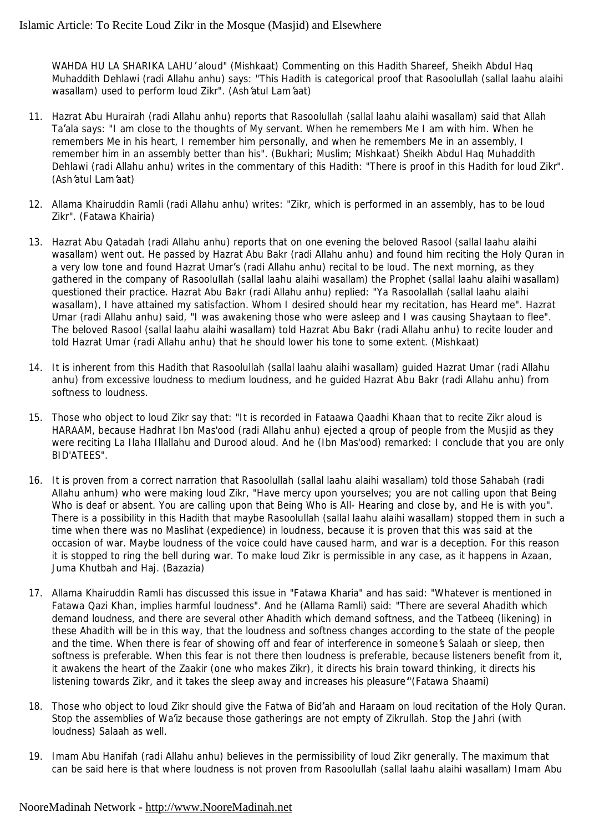*WAHDA HU LA SHARIKA LAHU' aloud" (Mishkaat)* Commenting on this Hadith Shareef, Sheikh Abdul Haq Muhaddith Dehlawi *(radi Allahu anhu)* says: *"This Hadith is categorical proof that Rasoolullah (sallal laahu alaihi wasallam) used to perform loud Zikr". (Ash'atul Lam'aat)*

- 11. Hazrat Abu Hurairah *(radi Allahu anhu)* reports that Rasoolullah *(sallal laahu alaihi wasallam)* said that Allah Ta'ala says: "I am close to the thoughts of My servant. When he remembers Me I am with him. When he *remembers Me in his heart, I remember him personally, and when he remembers Me in an assembly, I remember him in an assembly better than his". (Bukhari; Muslim; Mishkaat*) Sheikh Abdul Haq Muhaddith Dehlawi *(radi Allahu anhu)* writes in the commentary of this Hadith: *"There is proof in this Hadith for loud Zikr". (Ash'atul Lam'aat)*
- 12. Allama Khairuddin Ramli *(radi Allahu anhu)* writes: *"Zikr, which is performed in an assembly, has to be loud Zikr". (Fatawa Khairia)*
- 13. Hazrat Abu Qatadah *(radi Allahu anhu)* reports that on one evening the beloved Rasool *(sallal laahu alaihi wasallam)* went out. He passed by Hazrat Abu Bakr *(radi Allahu anhu)* and found him reciting the Holy Quran in a very low tone and found Hazrat Umar's *(radi Allahu anhu)* recital to be loud. The next morning, as they gathered in the company of Rasoolullah *(sallal laahu alaihi wasallam)* the Prophet *(sallal laahu alaihi wasallam)*  questioned their practice. Hazrat Abu Bakr *(radi Allahu anhu)* replied: *"Ya Rasoolallah (sallal laahu alaihi wasallam), I have attained my satisfaction. Whom I desired should hear my recitation, has Heard me".* Hazrat Umar *(radi Allahu anhu)* said, *"I was awakening those who were asleep and I was causing Shaytaan to flee".* The beloved Rasool *(sallal laahu alaihi wasallam)* told Hazrat Abu Bakr *(radi Allahu anhu)* to recite louder and told Hazrat Umar *(radi Allahu anhu)* that he should lower his tone to some extent. *(Mishkaat)*
- 14. It is inherent from this Hadith that Rasoolullah *(sallal laahu alaihi wasallam)* guided Hazrat Umar *(radi Allahu anhu)* from excessive loudness to medium loudness, and he guided Hazrat Abu Bakr *(radi Allahu anhu)* from softness to loudness.
- 15. Those who object to loud Zikr say that: *"It is recorded in Fataawa Qaadhi Khaan that to recite Zikr aloud is HARAAM, because Hadhrat Ibn Mas'ood (radi Allahu anhu) ejected a qroup of people from the Musjid as they were reciting La Ilaha Illallahu and Durood aloud. And he (Ibn Mas'ood) remarked: I conclude that you are only BID'ATEES".*
- 16. It is proven from a correct narration that Rasoolullah *(sallal laahu alaihi wasallam)* told those Sahabah *(radi Allahu anhum)* who were making loud Zikr, *"Have mercy upon yourselves; you are not calling upon that Being*  Who is deaf or absent. You are calling upon that Being Who is All-Hearing and close by, and He is with you". There is a possibility in this Hadith that maybe Rasoolullah *(sallal laahu alaihi wasallam)* stopped them in such a time when there was no Maslihat (expedience) in loudness, because it is proven that this was said at the occasion of war. Maybe loudness of the voice could have caused harm, and war is a deception. For this reason it is stopped to ring the bell during war. To make loud Zikr is permissible in any case, as it happens in Azaan, Juma Khutbah and Haj. *(Bazazia)*
- 17. Allama Khairuddin Ramli has discussed this issue in *"Fatawa Kharia"* and has said: *"Whatever is mentioned in Fatawa Qazi Khan, implies harmful loudness".* And he (Allama Ramli) said: *"There are several Ahadith which demand loudness, and there are several other Ahadith which demand softness, and the Tatbeeq (likening) in*  these Ahadith will be in this way, that the loudness and softness changes according to the state of the people and the time. When there is fear of showing off and fear of interference in someone's Salaah or sleep, then softness is preferable. When this fear is not there then loudness is preferable, because listeners benefit from it, it awakens the heart of the Zaakir (one who makes Zikr), it directs his brain toward thinking, it directs his *listening towards Zikr, and it takes the sleep away and increases his pleasure'"(Fatawa Shaami)*
- 18. Those who object to loud Zikr should give the Fatwa of Bid'ah and Haraam on loud recitation of the Holy Quran. Stop the assemblies of Wa'iz because those gatherings are not empty of Zikrullah. Stop the Jahri (with loudness) Salaah as well.
- 19. Imam Abu Hanifah *(radi Allahu anhu)* believes in the permissibility of loud Zikr generally. The maximum that can be said here is that where loudness is not proven from Rasoolullah *(sallal laahu alaihi wasallam)* Imam Abu